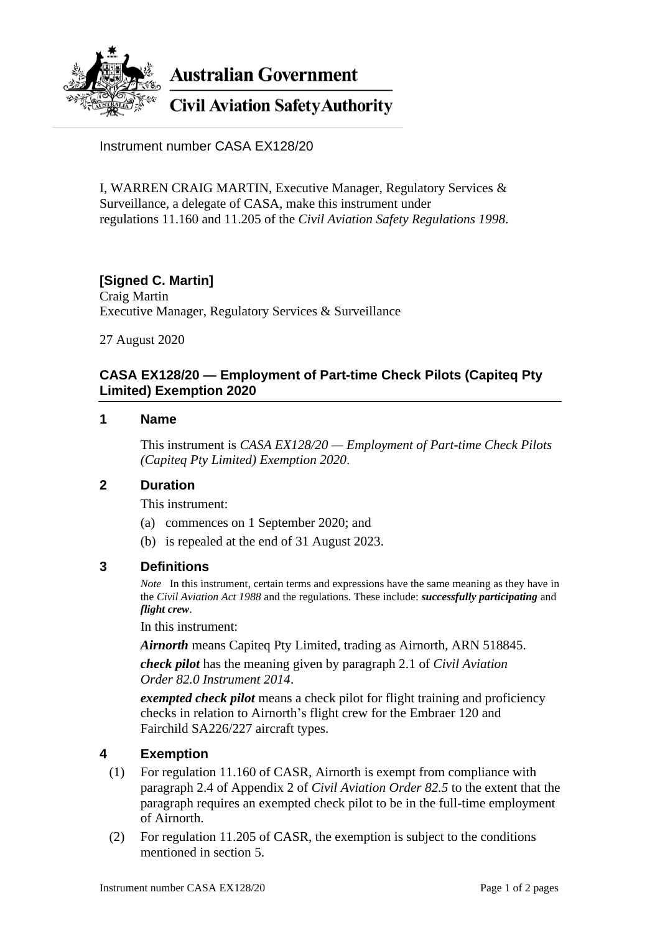

**Australian Government** 

# **Civil Aviation Safety Authority**

Instrument number CASA EX128/20

I, WARREN CRAIG MARTIN, Executive Manager, Regulatory Services & Surveillance, a delegate of CASA, make this instrument under regulations 11.160 and 11.205 of the *Civil Aviation Safety Regulations 1998*.

### **[Signed C. Martin]**

Craig Martin Executive Manager, Regulatory Services & Surveillance

27 August 2020

#### **CASA EX128/20 — Employment of Part-time Check Pilots (Capiteq Pty Limited) Exemption 2020**

#### **1 Name**

This instrument is *CASA EX128/20 — Employment of Part-time Check Pilots (Capiteq Pty Limited) Exemption 2020*.

#### **2 Duration**

This instrument:

- (a) commences on 1 September 2020; and
- (b) is repealed at the end of 31 August 2023.

### **3 Definitions**

*Note* In this instrument, certain terms and expressions have the same meaning as they have in the *Civil Aviation Act 1988* and the regulations. These include: *successfully participating* and *flight crew*.

In this instrument:

*Airnorth* means Capiteq Pty Limited, trading as Airnorth, ARN 518845.

*check pilot* has the meaning given by paragraph 2.1 of *Civil Aviation Order 82.0 Instrument 2014*.

*exempted check pilot* means a check pilot for flight training and proficiency checks in relation to Airnorth's flight crew for the Embraer 120 and Fairchild SA226/227 aircraft types.

#### **4 Exemption**

- (1) For regulation 11.160 of CASR, Airnorth is exempt from compliance with paragraph 2.4 of Appendix 2 of *Civil Aviation Order 82.5* to the extent that the paragraph requires an exempted check pilot to be in the full-time employment of Airnorth.
- (2) For regulation 11.205 of CASR, the exemption is subject to the conditions mentioned in section 5.